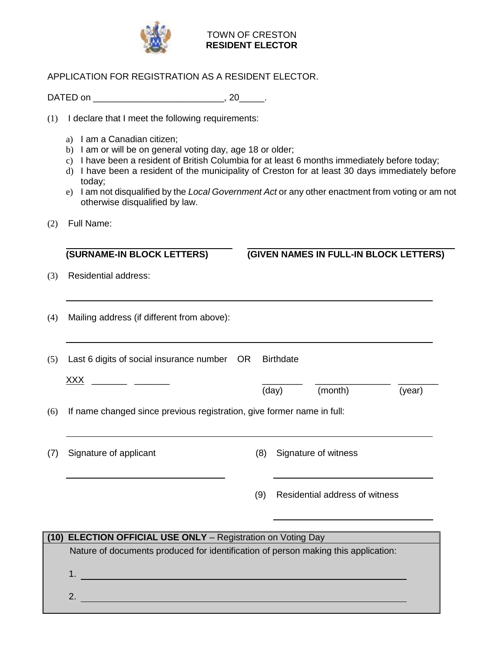

## TOWN OF CRESTON **RESIDENT ELECTOR**

## APPLICATION FOR REGISTRATION AS A RESIDENT ELECTOR.

DATED on \_\_\_\_\_\_\_\_\_\_\_\_\_\_\_\_\_\_\_\_\_\_\_\_\_\_, 20\_\_\_\_\_.

(1) I declare that I meet the following requirements:

- a) I am a Canadian citizen;
- b) I am or will be on general voting day, age 18 or older;
- c) I have been a resident of British Columbia for at least 6 months immediately before today;
- d) I have been a resident of the municipality of Creston for at least 30 days immediately before today;
- e) I am not disqualified by the *Local Government Act* or any other enactment from voting or am not otherwise disqualified by law.
- (2) Full Name:

**(SURNAME-IN BLOCK LETTERS) (GIVEN NAMES IN FULL-IN BLOCK LETTERS)**

(day) (month) (year)

- (3) Residential address:
- (4) Mailing address (if different from above):

(5) Last 6 digits of social insurance number OR Birthdate  $\mathsf{XXX}$   $\qquad \qquad \qquad$ 

(6) If name changed since previous registration, give former name in full:

(7) Signature of applicant (8) Signature of witness

(9) Residential address of witness

| <b>ELECTION OFFICIAL USE ONLY</b> - Registration on Voting Day<br>(10) |                                                                                    |  |
|------------------------------------------------------------------------|------------------------------------------------------------------------------------|--|
|                                                                        | Nature of documents produced for identification of person making this application: |  |
|                                                                        |                                                                                    |  |
|                                                                        |                                                                                    |  |